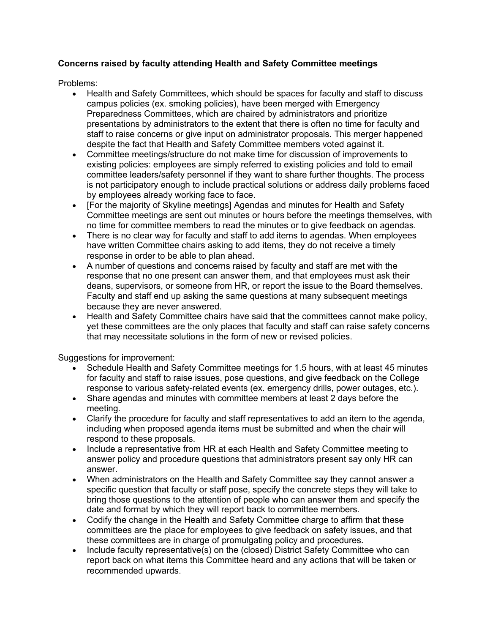## **Concerns raised by faculty attending Health and Safety Committee meetings**

Problems:

- Health and Safety Committees, which should be spaces for faculty and staff to discuss campus policies (ex. smoking policies), have been merged with Emergency Preparedness Committees, which are chaired by administrators and prioritize presentations by administrators to the extent that there is often no time for faculty and staff to raise concerns or give input on administrator proposals. This merger happened despite the fact that Health and Safety Committee members voted against it.
- Committee meetings/structure do not make time for discussion of improvements to existing policies: employees are simply referred to existing policies and told to email committee leaders/safety personnel if they want to share further thoughts. The process is not participatory enough to include practical solutions or address daily problems faced by employees already working face to face.
- [For the majority of Skyline meetings] Agendas and minutes for Health and Safety Committee meetings are sent out minutes or hours before the meetings themselves, with no time for committee members to read the minutes or to give feedback on agendas.
- There is no clear way for faculty and staff to add items to agendas. When employees have written Committee chairs asking to add items, they do not receive a timely response in order to be able to plan ahead.
- A number of questions and concerns raised by faculty and staff are met with the response that no one present can answer them, and that employees must ask their deans, supervisors, or someone from HR, or report the issue to the Board themselves. Faculty and staff end up asking the same questions at many subsequent meetings because they are never answered.
- Health and Safety Committee chairs have said that the committees cannot make policy, yet these committees are the only places that faculty and staff can raise safety concerns that may necessitate solutions in the form of new or revised policies.

Suggestions for improvement:

- Schedule Health and Safety Committee meetings for 1.5 hours, with at least 45 minutes for faculty and staff to raise issues, pose questions, and give feedback on the College response to various safety-related events (ex. emergency drills, power outages, etc.).
- Share agendas and minutes with committee members at least 2 days before the meeting.
- Clarify the procedure for faculty and staff representatives to add an item to the agenda, including when proposed agenda items must be submitted and when the chair will respond to these proposals.
- Include a representative from HR at each Health and Safety Committee meeting to answer policy and procedure questions that administrators present say only HR can answer.
- When administrators on the Health and Safety Committee say they cannot answer a specific question that faculty or staff pose, specify the concrete steps they will take to bring those questions to the attention of people who can answer them and specify the date and format by which they will report back to committee members.
- Codify the change in the Health and Safety Committee charge to affirm that these committees are the place for employees to give feedback on safety issues, and that these committees are in charge of promulgating policy and procedures.
- Include faculty representative(s) on the (closed) District Safety Committee who can report back on what items this Committee heard and any actions that will be taken or recommended upwards.